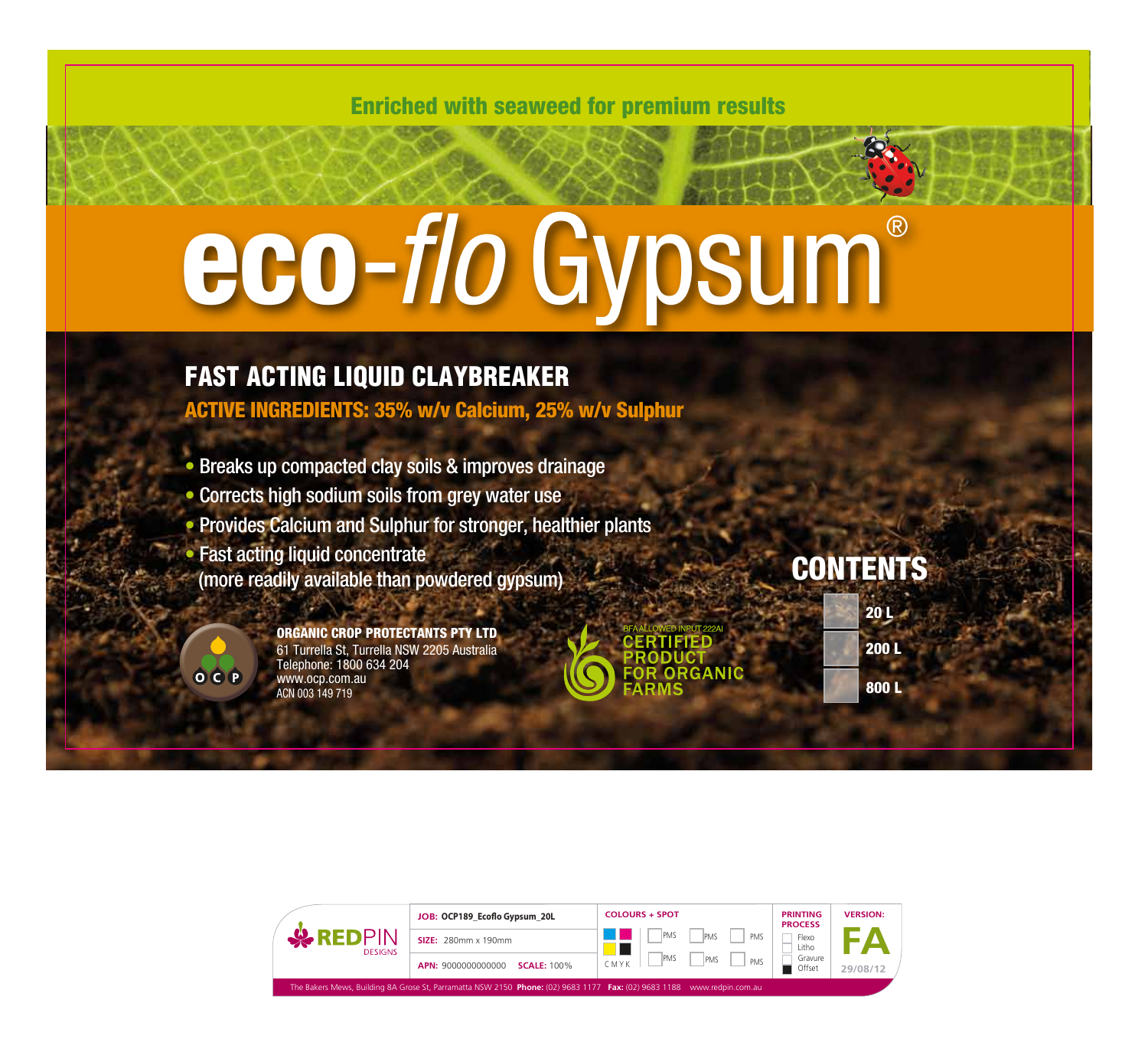Enriched with seaweed for premium results

# eco-*flo* Gypsum®

### FAST ACTING LIQUID CLAYBREAKER

ACTIVE INGREDIENTS: 35% w/v Calcium, 25% w/v Sulphur

• Breaks up compacted clay soils & improves drainage • Corrects high sodium soils from grey water use • Provides Calcium and Sulphur for stronger, healthier plants • Fast acting liquid concentrate (more readily available than powdered gypsum)

> ORGANIC CROP PROTECTANTS PTY LTD 61 Turrella St, Turrella NSW 2205 Australia Telephone: 1800 634 204 www.ocp.com.au ACN 003 149 719

ORGANIC

## **CONTENTS**

| 20L  |
|------|
| 200L |
| 800L |

OCP